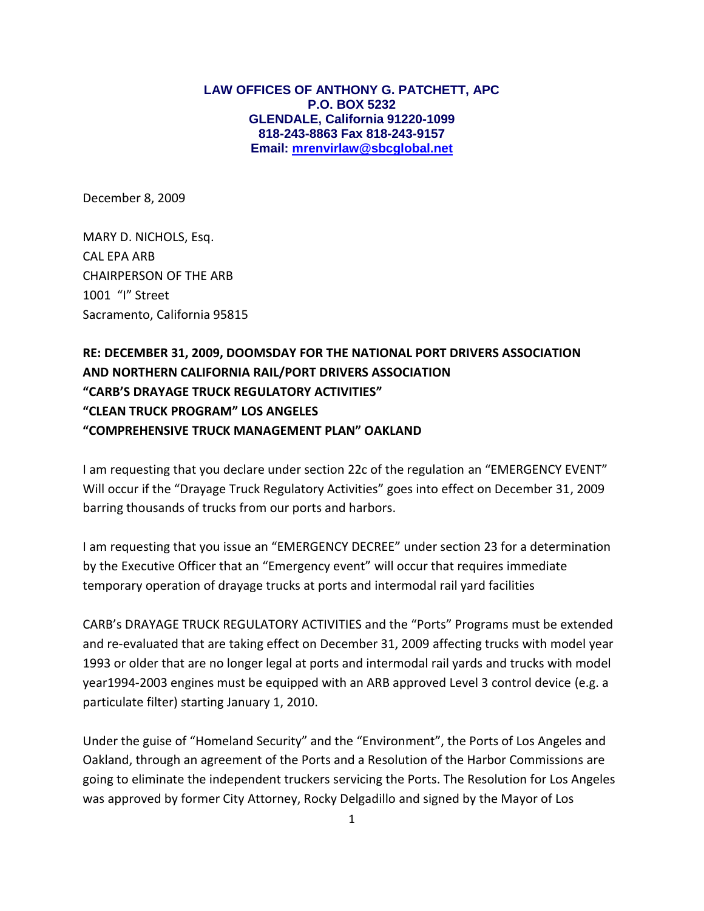**LAW OFFICES OF ANTHONY G. PATCHETT, APC P.O. BOX 5232 GLENDALE, California 91220-1099 818-243-8863 Fax 818-243-9157 Email: [mrenvirlaw@sbcglobal.net](mailto:mrenvirlaw@sbcglobal.net)**

December 8, 2009

MARY D. NICHOLS, Esq. CAL EPA ARB CHAIRPERSON OF THE ARB 1001 "I" Street Sacramento, California 95815

## **RE: DECEMBER 31, 2009, DOOMSDAY FOR THE NATIONAL PORT DRIVERS ASSOCIATION AND NORTHERN CALIFORNIA RAIL/PORT DRIVERS ASSOCIATION "CARB'S DRAYAGE TRUCK REGULATORY ACTIVITIES" "CLEAN TRUCK PROGRAM" LOS ANGELES "COMPREHENSIVE TRUCK MANAGEMENT PLAN" OAKLAND**

I am requesting that you declare under section 22c of the regulation an "EMERGENCY EVENT" Will occur if the "Drayage Truck Regulatory Activities" goes into effect on December 31, 2009 barring thousands of trucks from our ports and harbors.

I am requesting that you issue an "EMERGENCY DECREE" under section 23 for a determination by the Executive Officer that an "Emergency event" will occur that requires immediate temporary operation of drayage trucks at ports and intermodal rail yard facilities

CARB's DRAYAGE TRUCK REGULATORY ACTIVITIES and the "Ports" Programs must be extended and re-evaluated that are taking effect on December 31, 2009 affecting trucks with model year 1993 or older that are no longer legal at ports and intermodal rail yards and trucks with model year1994-2003 engines must be equipped with an ARB approved Level 3 control device (e.g. a particulate filter) starting January 1, 2010.

Under the guise of "Homeland Security" and the "Environment", the Ports of Los Angeles and Oakland, through an agreement of the Ports and a Resolution of the Harbor Commissions are going to eliminate the independent truckers servicing the Ports. The Resolution for Los Angeles was approved by former City Attorney, Rocky Delgadillo and signed by the Mayor of Los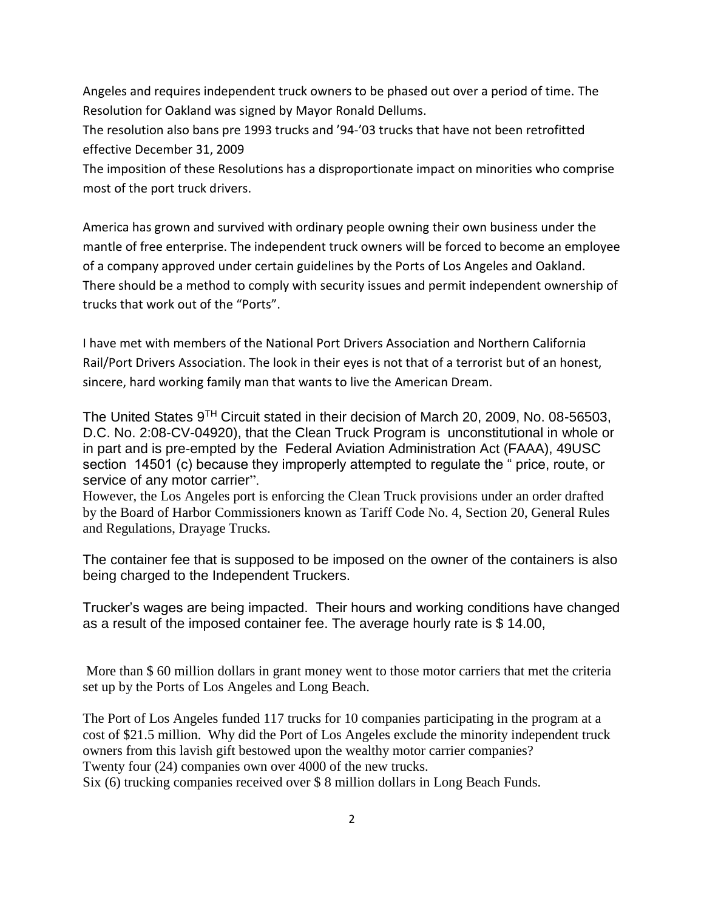Angeles and requires independent truck owners to be phased out over a period of time. The Resolution for Oakland was signed by Mayor Ronald Dellums.

The resolution also bans pre 1993 trucks and '94-'03 trucks that have not been retrofitted effective December 31, 2009

The imposition of these Resolutions has a disproportionate impact on minorities who comprise most of the port truck drivers.

America has grown and survived with ordinary people owning their own business under the mantle of free enterprise. The independent truck owners will be forced to become an employee of a company approved under certain guidelines by the Ports of Los Angeles and Oakland. There should be a method to comply with security issues and permit independent ownership of trucks that work out of the "Ports".

I have met with members of the National Port Drivers Association and Northern California Rail/Port Drivers Association. The look in their eyes is not that of a terrorist but of an honest, sincere, hard working family man that wants to live the American Dream.

The United States 9TH Circuit stated in their decision of March 20, 2009, No. 08-56503, D.C. No. 2:08-CV-04920), that the Clean Truck Program is unconstitutional in whole or in part and is pre-empted by the Federal Aviation Administration Act (FAAA), 49USC section 14501 (c) because they improperly attempted to regulate the " price, route, or service of any motor carrier".

However, the Los Angeles port is enforcing the Clean Truck provisions under an order drafted by the Board of Harbor Commissioners known as Tariff Code No. 4, Section 20, General Rules and Regulations, Drayage Trucks.

The container fee that is supposed to be imposed on the owner of the containers is also being charged to the Independent Truckers.

Trucker's wages are being impacted. Their hours and working conditions have changed as a result of the imposed container fee. The average hourly rate is \$ 14.00,

More than \$ 60 million dollars in grant money went to those motor carriers that met the criteria set up by the Ports of Los Angeles and Long Beach.

The Port of Los Angeles funded 117 trucks for 10 companies participating in the program at a cost of \$21.5 million. Why did the Port of Los Angeles exclude the minority independent truck owners from this lavish gift bestowed upon the wealthy motor carrier companies? Twenty four (24) companies own over 4000 of the new trucks.

Six (6) trucking companies received over \$ 8 million dollars in Long Beach Funds.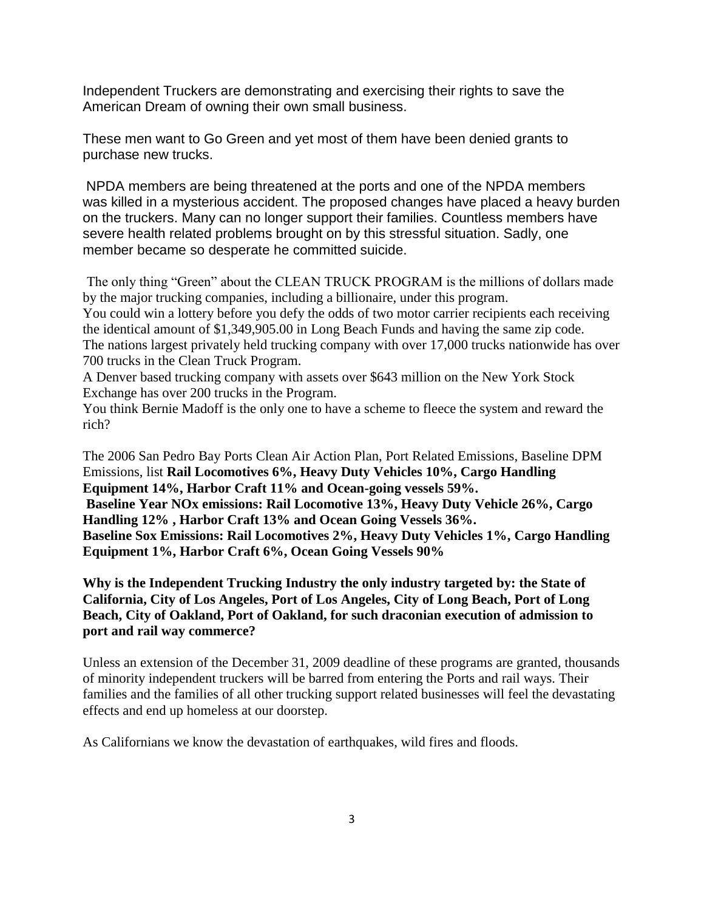Independent Truckers are demonstrating and exercising their rights to save the American Dream of owning their own small business.

These men want to Go Green and yet most of them have been denied grants to purchase new trucks.

NPDA members are being threatened at the ports and one of the NPDA members was killed in a mysterious accident. The proposed changes have placed a heavy burden on the truckers. Many can no longer support their families. Countless members have severe health related problems brought on by this stressful situation. Sadly, one member became so desperate he committed suicide.

The only thing "Green" about the CLEAN TRUCK PROGRAM is the millions of dollars made by the major trucking companies, including a billionaire, under this program.

You could win a lottery before you defy the odds of two motor carrier recipients each receiving the identical amount of \$1,349,905.00 in Long Beach Funds and having the same zip code. The nations largest privately held trucking company with over 17,000 trucks nationwide has over 700 trucks in the Clean Truck Program.

A Denver based trucking company with assets over \$643 million on the New York Stock Exchange has over 200 trucks in the Program.

You think Bernie Madoff is the only one to have a scheme to fleece the system and reward the rich?

The 2006 San Pedro Bay Ports Clean Air Action Plan, Port Related Emissions, Baseline DPM Emissions, list **Rail Locomotives 6%, Heavy Duty Vehicles 10%, Cargo Handling Equipment 14%, Harbor Craft 11% and Ocean-going vessels 59%. Baseline Year NOx emissions: Rail Locomotive 13%, Heavy Duty Vehicle 26%, Cargo Handling 12% , Harbor Craft 13% and Ocean Going Vessels 36%. Baseline Sox Emissions: Rail Locomotives 2%, Heavy Duty Vehicles 1%, Cargo Handling Equipment 1%, Harbor Craft 6%, Ocean Going Vessels 90%**

**Why is the Independent Trucking Industry the only industry targeted by: the State of California, City of Los Angeles, Port of Los Angeles, City of Long Beach, Port of Long Beach, City of Oakland, Port of Oakland, for such draconian execution of admission to port and rail way commerce?**

Unless an extension of the December 31, 2009 deadline of these programs are granted, thousands of minority independent truckers will be barred from entering the Ports and rail ways. Their families and the families of all other trucking support related businesses will feel the devastating effects and end up homeless at our doorstep.

As Californians we know the devastation of earthquakes, wild fires and floods.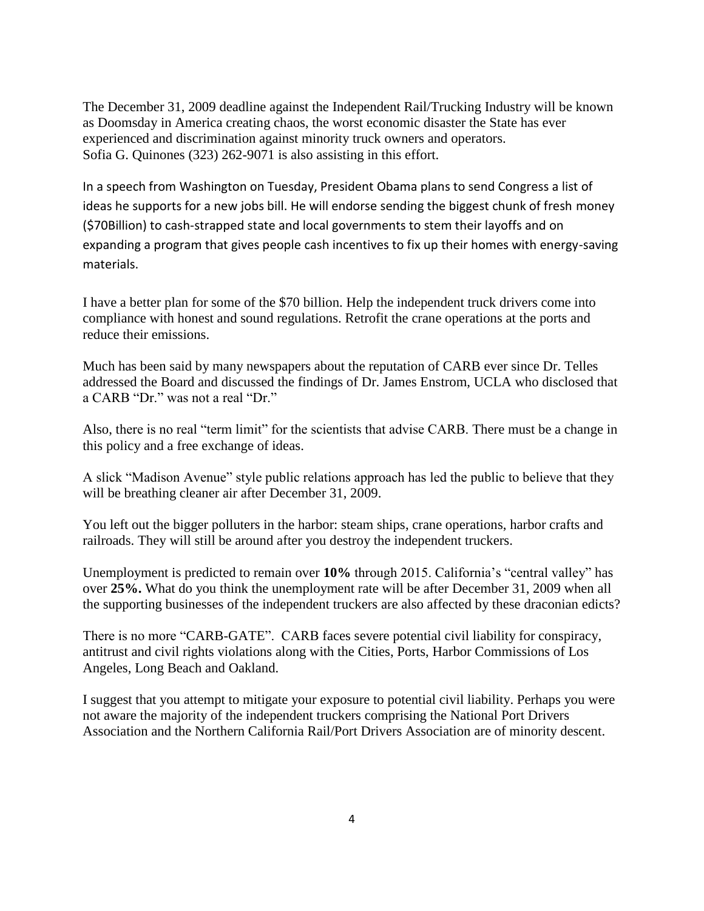The December 31, 2009 deadline against the Independent Rail/Trucking Industry will be known as Doomsday in America creating chaos, the worst economic disaster the State has ever experienced and discrimination against minority truck owners and operators. Sofia G. Quinones (323) 262-9071 is also assisting in this effort.

In a speech from Washington on Tuesday, President Obama plans to send Congress a list of ideas he supports for a new jobs bill. He will endorse sending the biggest chunk of fresh money (\$70Billion) to cash-strapped state and local governments to stem their layoffs and on expanding a program that gives people cash incentives to fix up their homes with energy-saving materials.

I have a better plan for some of the \$70 billion. Help the independent truck drivers come into compliance with honest and sound regulations. Retrofit the crane operations at the ports and reduce their emissions.

Much has been said by many newspapers about the reputation of CARB ever since Dr. Telles addressed the Board and discussed the findings of Dr. James Enstrom, UCLA who disclosed that a CARB "Dr." was not a real "Dr."

Also, there is no real "term limit" for the scientists that advise CARB. There must be a change in this policy and a free exchange of ideas.

A slick "Madison Avenue" style public relations approach has led the public to believe that they will be breathing cleaner air after December 31, 2009.

You left out the bigger polluters in the harbor: steam ships, crane operations, harbor crafts and railroads. They will still be around after you destroy the independent truckers.

Unemployment is predicted to remain over **10%** through 2015. California's "central valley" has over **25%.** What do you think the unemployment rate will be after December 31, 2009 when all the supporting businesses of the independent truckers are also affected by these draconian edicts?

There is no more "CARB-GATE". CARB faces severe potential civil liability for conspiracy, antitrust and civil rights violations along with the Cities, Ports, Harbor Commissions of Los Angeles, Long Beach and Oakland.

I suggest that you attempt to mitigate your exposure to potential civil liability. Perhaps you were not aware the majority of the independent truckers comprising the National Port Drivers Association and the Northern California Rail/Port Drivers Association are of minority descent.